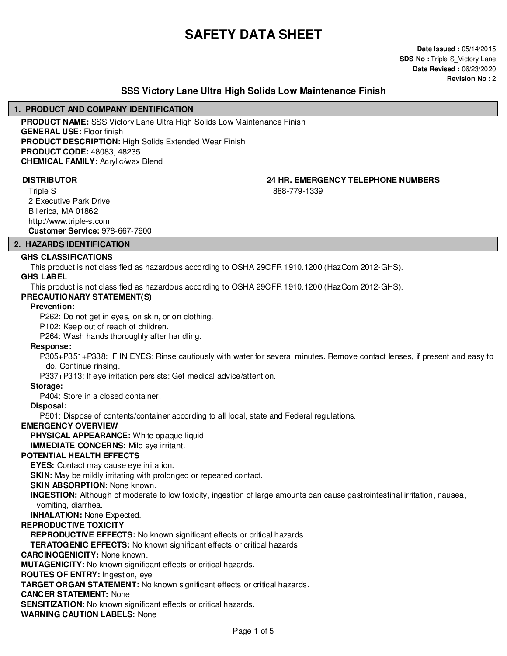# **SAFETY DATA SHEET**

**Date Issued :** 05/14/2015 **SDS No : Triple S Victory Lane Date Revised :** 06/23/2020 **Revision No :** 2

### **SSS Victory Lane Ultra High Solids Low Maintenance Finish**

#### **1. PRODUCT AND COMPANY IDENTIFICATION**

**PRODUCT NAME:** SSS Victory Lane Ultra High Solids Low Maintenance Finish **GENERAL USE:** Floor finish **PRODUCT DESCRIPTION:** High Solids Extended Wear Finish **PRODUCT CODE:** 48083, 48235 **CHEMICAL FAMILY:** Acrylic/wax Blend

888-779-1339

Triple S 2 Executive Park Drive Billerica, MA 01862 http://www.triple-s.com **Customer Service:** 978-667-7900

# **2. HAZARDS IDENTIFICATION**

#### **GHS CLASSIFICATIONS**

This product is not classified as hazardous according to OSHA 29CFR 1910.1200 (HazCom 2012-GHS).

#### **GHS LABEL**

This product is not classified as hazardous according to OSHA 29CFR 1910.1200 (HazCom 2012-GHS).

#### **PRECAUTIONARY STATEMENT(S)**

#### **Prevention:**

P262: Do not get in eyes, on skin, or on clothing.

P102: Keep out of reach of children.

P264: Wash hands thoroughly after handling.

#### **Response:**

P305+P351+P338: IF IN EYES: Rinse cautiously with water for several minutes. Remove contact lenses, if present and easy to do. Continue rinsing.

P337+P313: If eye irritation persists: Get medical advice/attention.

#### **Storage:**

P404: Store in a closed container.

#### **Disposal:**

P501: Dispose of contents/container according to all local, state and Federal regulations.

#### **EMERGENCY OVERVIEW**

**PHYSICAL APPEARANCE:** White opaque liquid

**IMMEDIATE CONCERNS:** Mild eye irritant.

#### **POTENTIAL HEALTH EFFECTS**

**EYES:** Contact may cause eye irritation.

**SKIN:** May be mildly irritating with prolonged or repeated contact.

**SKIN ABSORPTION: None known.** 

**INGESTION:** Although of moderate to low toxicity, ingestion of large amounts can cause gastrointestinal irritation, nausea, vomiting, diarrhea.

**INHALATION:** None Expected.

#### **REPRODUCTIVE TOXICITY**

**REPRODUCTIVE EFFECTS:** No known significant effects or critical hazards.

**TERATOGENIC EFFECTS:** No known significant effects or critical hazards.

#### **CARCINOGENICITY:** None known.

**MUTAGENICITY:** No known significant effects or critical hazards.

**ROUTES OF ENTRY:** Ingestion, eye

**TARGET ORGAN STATEMENT:** No known significant effects or critical hazards.

#### **CANCER STATEMENT:** None

**SENSITIZATION:** No known significant effects or critical hazards.

**WARNING CAUTION LABELS:** None

**DISTRIBUTOR 24 HR. EMERGENCY TELEPHONE NUMBERS**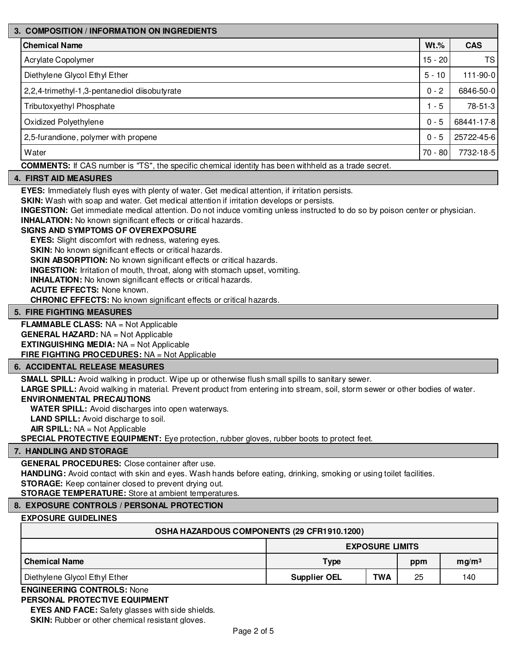# **3. COMPOSITION / INFORMATION ON INGREDIENTS Chemical Name Wt.% CAS** Acrylate Copolymer 15 - 20 TS Diethylene Glycol Ethyl Ether 5 - 10 111-90-0 2,2,4-trimethyl-1,3-pentanediol diisobutyrate 0 - 2 - 2 - 2 6846-50-0 Tributoxyethyl Phosphate 2 - 5 78-51-3 1 - 5 78-51-3 Oxidized Polyethylene 0 - 5 68441-17-8 2,5-furandione, polymer with propene 0 - 5 25722-45-6 Water 70 - 80 7732-18-5

**COMMENTS:** If CAS number is "TS", the specific chemical identity has been withheld as a trade secret.

#### **4. FIRST AID MEASURES**

**EYES:** Immediately flush eyes with plenty of water. Get medical attention, if irritation persists.

**SKIN:** Wash with soap and water. Get medical attention if irritation develops or persists.

**INGESTION:** Get immediate medical attention. Do not induce vomiting unless instructed to do so by poison center or physician.

**INHALATION:** No known significant effects or critical hazards.

#### **SIGNS AND SYMPTOMS OF OVEREXPOSURE**

**EYES:** Slight discomfort with redness, watering eyes.

**SKIN:** No known significant effects or critical hazards.

**SKIN ABSORPTION:** No known significant effects or critical hazards.

**INGESTION:** Irritation of mouth, throat, along with stomach upset, vomiting.

**INHALATION:** No known significant effects or critical hazards.

**ACUTE EFFECTS:** None known.

**CHRONIC EFFECTS:** No known significant effects or critical hazards.

#### **5. FIRE FIGHTING MEASURES**

**FLAMMABLE CLASS:** NA = Not Applicable **GENERAL HAZARD:** NA = Not Applicable **EXTINGUISHING MEDIA:** NA = Not Applicable **FIRE FIGHTING PROCEDURES:** NA = Not Applicable

#### **6. ACCIDENTAL RELEASE MEASURES**

**SMALL SPILL:** Avoid walking in product. Wipe up or otherwise flush small spills to sanitary sewer.

**LARGE SPILL:** Avoid walking in material. Prevent product from entering into stream, soil, storm sewer or other bodies of water.

#### **ENVIRONMENTAL PRECAUTIONS**

**WATER SPILL:** Avoid discharges into open waterways.

**LAND SPILL:** Avoid discharge to soil.

**AIR SPILL:** NA = Not Applicable

**SPECIAL PROTECTIVE EQUIPMENT:** Eye protection, rubber gloves, rubber boots to protect feet.

#### **7. HANDLING AND STORAGE**

#### **GENERAL PROCEDURES:** Close container after use.

**HANDLING:** Avoid contact with skin and eyes. Wash hands before eating, drinking, smoking or using toilet facilities.

**STORAGE:** Keep container closed to prevent drying out.

**STORAGE TEMPERATURE:** Store at ambient temperatures.

#### **8. EXPOSURE CONTROLS / PERSONAL PROTECTION**

#### **EXPOSURE GUIDELINES**

| OSHA HAZARDOUS COMPONENTS (29 CFR1910.1200) |                     |                        |     |                   |
|---------------------------------------------|---------------------|------------------------|-----|-------------------|
|                                             |                     | <b>EXPOSURE LIMITS</b> |     |                   |
| Chemical Name                               | <b>Type</b>         |                        | ppm | mg/m <sup>3</sup> |
| Diethylene Glycol Ethyl Ether               | <b>Supplier OEL</b> | <b>TWA</b>             | 25  | 140               |

#### **ENGINEERING CONTROLS:** None **PERSONAL PROTECTIVE EQUIPMENT**

**EYES AND FACE:** Safety glasses with side shields. **SKIN:** Rubber or other chemical resistant gloves.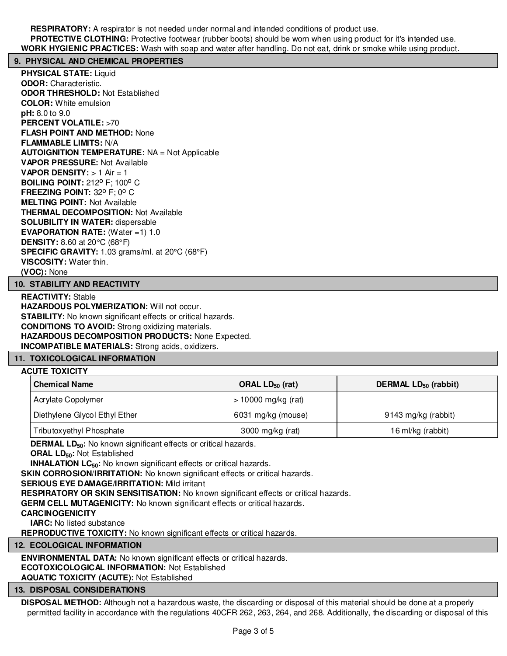**RESPIRATORY:** A respirator is not needed under normal and intended conditions of product use. **PROTECTIVE CLOTHING:** Protective footwear (rubber boots) should be worn when using product for it's intended use. **WORK HYGIENIC PRACTICES:** Wash with soap and water after handling. Do not eat, drink or smoke while using product.

#### **9. PHYSICAL AND CHEMICAL PROPERTIES**

**PHYSICAL STATE:** Liquid **ODOR:** Characteristic. **ODOR THRESHOLD:** Not Established **COLOR:** White emulsion **pH:** 8.0 to 9.0 **PERCENT VOLATILE: >70 FLASH POINT AND METHOD:** None **FLAMMABLE LIMITS:** N/A **AUTOIGNITION TEMPERATURE:** NA = Not Applicable **VAPOR PRESSURE:** Not Available **VAPOR DENSITY:** > 1 Air = 1 **BOILING POINT: 212° F; 100° C FREEZING POINT: 32° F; 0° C MELTING POINT:** Not Available **THERMAL DECOMPOSITION:** Not Available **SOLUBILITY IN WATER:** dispersable **EVAPORATION RATE:** (Water =1) 1.0 **DENSITY:** 8.60 at 20°C (68°F) **SPECIFIC GRAVITY:** 1.03 grams/ml. at 20°C (68°F) **VISCOSITY:** Water thin. **(VOC):** None

### **10. STABILITY AND REACTIVITY**

**REACTIVITY:** Stable **HAZARDOUS POLYMERIZATION: Will not occur. STABILITY:** No known significant effects or critical hazards. **CONDITIONS TO AVOID:** Strong oxidizing materials. **HAZARDOUS DECOMPOSITION PRODUCTS:** None Expected. **INCOMPATIBLE MATERIALS:** Strong acids, oxidizers.

#### **11. TOXICOLOGICAL INFORMATION**

#### **ACUTE TOXICITY**

| <b>Chemical Name</b>          | ORAL $LD_{50}$ (rat)  | DERMAL LD <sub>50</sub> (rabbit) |  |
|-------------------------------|-----------------------|----------------------------------|--|
| Acrylate Copolymer            | $> 10000$ mg/kg (rat) |                                  |  |
| Diethylene Glycol Ethyl Ether | 6031 mg/kg (mouse)    | 9143 mg/kg (rabbit)              |  |
| Tributoxyethyl Phosphate      | 3000 mg/kg (rat)      | 16 ml/kg (rabbit)                |  |

**DERMAL LD**<sub>50</sub>: No known significant effects or critical hazards.

**ORAL LD50:** Not Established

**INHALATION LC<sub>50</sub>:** No known significant effects or critical hazards.

**SKIN CORROSION/IRRITATION:** No known significant effects or critical hazards.

**SERIOUS EYE DAMAGE/IRRITATION:** Mild irritant

**RESPIRATORY OR SKIN SENSITISATION:** No known significant effects or critical hazards.

**GERM CELL MUTAGENICITY:** No known significant effects or critical hazards.

#### **CARCINOGENICITY**

**IARC:** No listed substance

**REPRODUCTIVE TOXICITY:** No known significant effects or critical hazards.

**12. ECOLOGICAL INFORMATION**

**ENVIRONMENTAL DATA:** No known significant effects or critical hazards. **ECOTOXICOLOGICAL INFORMATION:** Not Established **AQUATIC TOXICITY (ACUTE):** Not Established

#### **13. DISPOSAL CONSIDERATIONS**

**DISPOSAL METHOD:** Although not a hazardous waste, the discarding or disposal of this material should be done at a properly permitted facility in accordance with the regulations 40CFR 262, 263, 264, and 268. Additionally, the discarding or disposal of this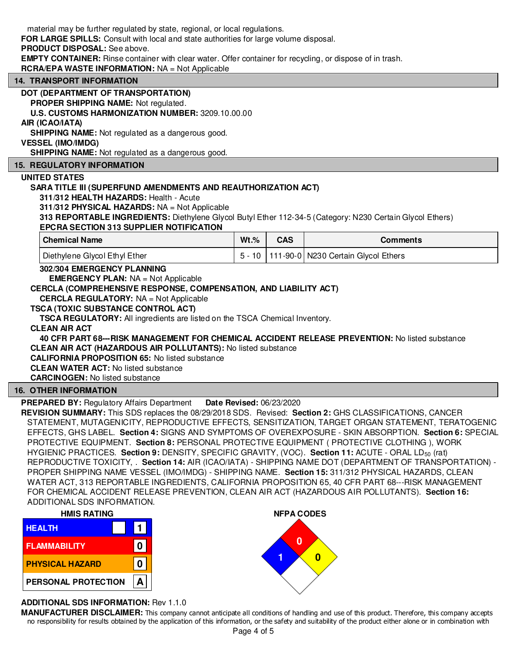| material may be further regulated by state, regional, or local regulations.<br>FOR LARGE SPILLS: Consult with local and state authorities for large volume disposal.<br><b>PRODUCT DISPOSAL:</b> See above.<br><b>EMPTY CONTAINER:</b> Rinse container with clear water. Offer container for recycling, or dispose of in trash.<br><b>RCRA/EPA WASTE INFORMATION: NA = Not Applicable</b>                                                                                                                                                                                                                                                                                             |          |            |                                     |
|---------------------------------------------------------------------------------------------------------------------------------------------------------------------------------------------------------------------------------------------------------------------------------------------------------------------------------------------------------------------------------------------------------------------------------------------------------------------------------------------------------------------------------------------------------------------------------------------------------------------------------------------------------------------------------------|----------|------------|-------------------------------------|
| <b>14. TRANSPORT INFORMATION</b>                                                                                                                                                                                                                                                                                                                                                                                                                                                                                                                                                                                                                                                      |          |            |                                     |
| DOT (DEPARTMENT OF TRANSPORTATION)<br>PROPER SHIPPING NAME: Not regulated.<br>U.S. CUSTOMS HARMONIZATION NUMBER: 3209.10.00.00<br>AIR (ICAO/IATA)<br><b>SHIPPING NAME:</b> Not regulated as a dangerous good.<br><b>VESSEL (IMO/IMDG)</b><br>SHIPPING NAME: Not regulated as a dangerous good.                                                                                                                                                                                                                                                                                                                                                                                        |          |            |                                     |
| <b>15. REGULATORY INFORMATION</b>                                                                                                                                                                                                                                                                                                                                                                                                                                                                                                                                                                                                                                                     |          |            |                                     |
| UNITED STATES<br>SARA TITLE III (SUPERFUND AMENDMENTS AND REAUTHORIZATION ACT)<br>311/312 HEALTH HAZARDS: Health - Acute<br>311/312 PHYSICAL HAZARDS: NA = Not Applicable<br>313 REPORTABLE INGREDIENTS: Diethylene Glycol Butyl Ether 112-34-5 (Category: N230 Certain Glycol Ethers)<br><b>EPCRA SECTION 313 SUPPLIER NOTIFICATION</b>                                                                                                                                                                                                                                                                                                                                              |          |            |                                     |
| <b>Chemical Name</b>                                                                                                                                                                                                                                                                                                                                                                                                                                                                                                                                                                                                                                                                  | $Wt.$ %  | <b>CAS</b> | <b>Comments</b>                     |
|                                                                                                                                                                                                                                                                                                                                                                                                                                                                                                                                                                                                                                                                                       |          |            |                                     |
| Diethylene Glycol Ethyl Ether                                                                                                                                                                                                                                                                                                                                                                                                                                                                                                                                                                                                                                                         | $5 - 10$ |            | 111-90-0 N230 Certain Glycol Ethers |
| 302/304 EMERGENCY PLANNING<br><b>EMERGENCY PLAN: NA = Not Applicable</b><br>CERCLA (COMPREHENSIVE RESPONSE, COMPENSATION, AND LIABILITY ACT)<br><b>CERCLA REGULATORY:</b> NA = Not Applicable<br><b>TSCA (TOXIC SUBSTANCE CONTROL ACT)</b><br><b>TSCA REGULATORY:</b> All ingredients are listed on the TSCA Chemical Inventory.<br><b>CLEAN AIR ACT</b><br>40 CFR PART 68--- RISK MANAGEMENT FOR CHEMICAL ACCIDENT RELEASE PREVENTION: No listed substance<br><b>CLEAN AIR ACT (HAZARDOUS AIR POLLUTANTS): No listed substance</b><br><b>CALIFORNIA PROPOSITION 65: No listed substance</b><br><b>CLEAN WATER ACT: No listed substance</b><br><b>CARCINOGEN:</b> No listed substance |          |            |                                     |
| <b>16. OTHER INFORMATION</b>                                                                                                                                                                                                                                                                                                                                                                                                                                                                                                                                                                                                                                                          |          |            |                                     |

FOR CHEMICAL ACCIDENT RELEASE PREVENTION, CLEAN AIR ACT (HAZARDOUS AIR POLLUTANTS). **Section 16:** ADDITIONAL SDS INFORMATION.

| <b>HMIS RATING</b>     |  |  |  |
|------------------------|--|--|--|
| <b>HEALTH</b>          |  |  |  |
| <b>FLAMMABILITY</b>    |  |  |  |
| <b>PHYSICAL HAZARD</b> |  |  |  |
| PERSONAL PROTECTION    |  |  |  |

## **ADDITIONAL SDS INFORMATION:** Rev 1.1.0

**MANUFACTURER DISCLAIMER:** This company cannot anticipate all conditions of handling and use of this product. Therefore, this company accepts no responsibility for results obtained by the application of this information, or the safety and suitability of the product either alone or in combination with

PROPER SHIPPING NAME VESSEL (IMO/IMDG) - SHIPPING NAME. **Section 15:** 311/312 PHYSICAL HAZARDS, CLEAN WATER ACT, 313 REPORTABLE INGREDIENTS, CALIFORNIA PROPOSITION 65, 40 CFR PART 68---RISK MANAGEMENT

**NFPA CODES**

**0 1 0**